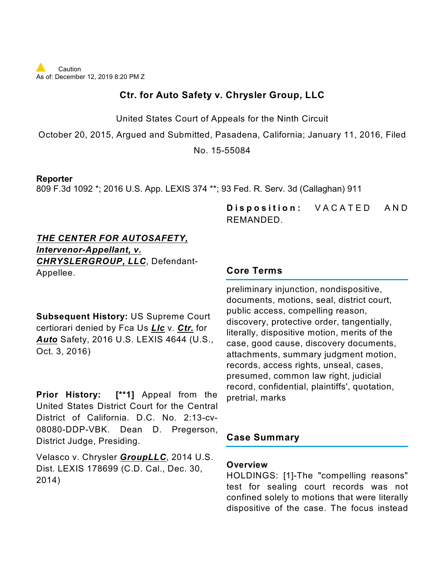

### **Ctr. for Auto Safety v. Chrysler Group, LLC**

United States Court of Appeals for the Ninth Circuit

October 20, 2015, Argued and Submitted, Pasadena, California; January 11, 2016, Filed

No. 15-55084

### **Reporter**

809 F.3d 1092 \*; 2016 U.S. App. LEXIS 374 \*\*; 93 Fed. R. Serv. 3d (Callaghan) 911

**Disposition:** VACATED AND REMANDED.

### *THE CENTER FOR AUTOSAFETY, Intervenor-Appellant, v. CHRYSLERGROUP, LLC*, Defendant-Appellee.

**Subsequent History:** US Supreme Court certiorari denied by Fca Us *Llc* v. *Ctr.* for *Auto* Safety, 2016 U.S. LEXIS 4644 (U.S., Oct. 3, 2016)

**Prior History: [\*\*1]** Appeal from the United States District Court for the Central District of California. D.C. No. 2:13-cv-08080-DDP-VBK. Dean D. Pregerson, District Judge, Presiding.

Velasco v. Chrysler *GroupLLC*, 2014 U.S. Dist. LEXIS 178699 (C.D. Cal., Dec. 30, 2014)

### **Core Terms**

preliminary injunction, nondispositive, documents, motions, seal, district court, public access, compelling reason, discovery, protective order, tangentially, literally, dispositive motion, merits of the case, good cause, discovery documents, attachments, summary judgment motion, records, access rights, unseal, cases, presumed, common law right, judicial record, confidential, plaintiffs', quotation, pretrial, marks

### **Case Summary**

### **Overview**

HOLDINGS: [1]-The "compelling reasons" test for sealing court records was not confined solely to motions that were literally dispositive of the case. The focus instead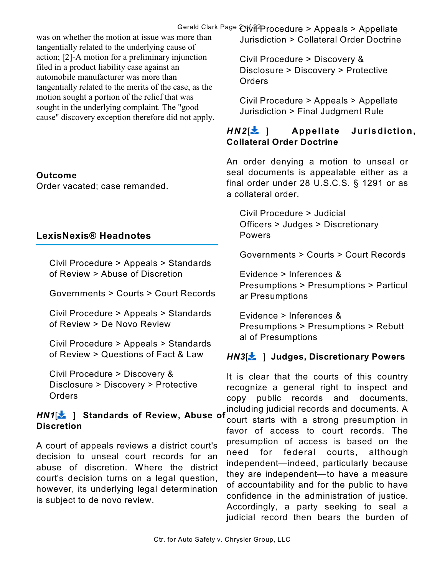### Gerald Clark Page 2 of 22 Civil Procedure > Appeals > Appellate

was on whether the motion at issue was more than tangentially related to the underlying cause of action; [2]-A motion for a preliminary injunction filed in a product liability case against an automobile manufacturer was more than tangentially related to the merits of the case, as the motion sought a portion of the relief that was sought in the underlying complaint. The "good cause" discovery exception therefore did not apply.

### **Outcome**

Order vacated; case remanded.

### **LexisNexis® Headnotes**

Civil Procedure > Appeals > Standards of Review > Abuse of Discretion

Governments > Courts > Court Records

Civil Procedure > Appeals > Standards of Review > De Novo Review

Civil Procedure > Appeals > Standards of Review > Questions of Fact & Law

Civil Procedure > Discovery & Disclosure > Discovery > Protective Orders

### *HN1*[ ] **Standards of Review, Abuse of Discretion**

A court of appeals reviews a district court's decision to unseal court records for an abuse of discretion. Where the district court's decision turns on a legal question, however, its underlying legal determination is subject to de novo review.

Jurisdiction > Collateral Order Doctrine

Civil Procedure > Discovery & Disclosure > Discovery > Protective Orders

Civil Procedure > Appeals > Appellate Jurisdiction > Final Judgment Rule

### *HN2*[ ] **Appellate Jurisdiction, Collateral Order Doctrine**

An order denying a motion to unseal or seal documents is appealable either as a final order under 28 U.S.C.S. § 1291 or as a collateral order.

Civil Procedure > Judicial Officers > Judges > Discretionary Powers

Governments > Courts > Court Records

Evidence > Inferences & Presumptions > Presumptions > Particul ar Presumptions

Evidence > Inferences & Presumptions > Presumptions > Rebutt al of Presumptions

### *HN3*[ ] **Judges, Discretionary Powers**

It is clear that the courts of this country recognize a general right to inspect and copy public records and documents, including judicial records and documents. A court starts with a strong presumption in favor of access to court records. The presumption of access is based on the need for federal courts, although independent—indeed, particularly because they are independent—to have a measure of accountability and for the public to have confidence in the administration of justice. Accordingly, a party seeking to seal a judicial record then bears the burden of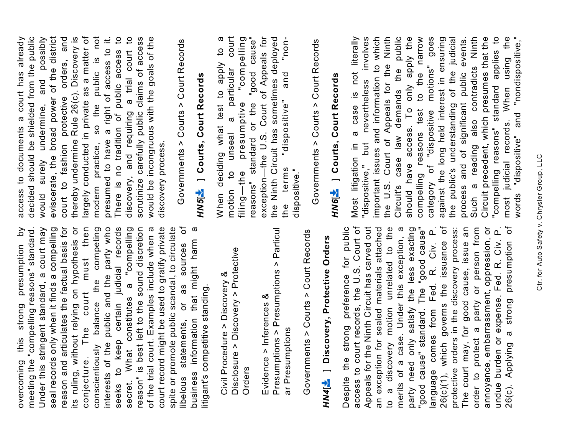meeting the "compelling reasons" standard. reason and articulates the factual basis for its ruling, without relying on hypothesis or conjecture. The court must then conscientiously balance the competing<br>interests of the public and the party who seeks to keep certain judicial records a "compelling reason" is best left to the sound discretion of the trial court. Examples include when a court record might be used to gratify private ð spite or promote public scandal, to circulate business information that might harm a this strong presumption by overcoming this strong presumption by meeting the "compelling reasons" standard. Under this stringent standard, a court may Under this stringent standard, a court may seal records only when it finds a compelling seal records only when it finds a compelling reason and articulates the factual basis for its ruling, without relying on hypothesis or conjecture. The court must then conscientiously balance the competing interests of the public and the party who seeks to keep certain judicial records secret. What constitutes a "compelling reason" is best left to the sound discretion of the trial court. Examples include when a court record might be used to gratify private spite or promote public scandal, to circulate libelous statements, or as sources of business information that might harm a sources as litigant's competitive standing. litigant's competitive standing. constitutes  $\overline{5}$ statements, secret. What overcoming libelous

Disclosure > Discovery > Protective Disclosure > Discovery > Protective Civil Procedure > Discovery & Civil Procedure > Discovery & Orders

Presumptions > Presumptions > Particul Presumptions > Presumptions > Particul Evidence > Inferences & Evidence > Inferences & ar Presumptions ar Presumptions

Governments > Courts > Court Records Governments > Court Records

### *HN4*[ ] **Discovery, Protective Orders** HN4[ $\pm$  ] Discovery, Protective Orders

access to court records, the U.S. Court of Appeals for the Ninth Circuit has carved out a discovery motion unrelated to the "good cause" standard. The "good cause"<br>language comes from Fed. R. Civ. P.  $\sigma$ protective orders in the discovery process: The court may, for good cause, issue an undue burden or expense. Fed. R. Civ. P.<br>26(c). Applying a strong presumption of an exception for sealed materials attached merits of a case. Under this exception, a order to protect a party or person from annoyance, embarrassment, oppression, or Despite the strong preference for public Despite the strong preference for public access to court records, the U.S. Court of Appeals for the Ninth Circuit has carved out an exception for sealed materials attached to a discovery motion unrelated to the merits of a case. Under this exception, a party need only satisfy the less exacting party need only satisfy the less exacting "good cause" standard. The "good cause" language comes from Fed. R. Civ. P.  $26(c)(1)$ , which governs the issuance of protective orders in the discovery process: The court may, for good cause, issue an order to protect a party or person from annoyance, embarrassment, oppression, or undue burden or expense. Fed. R. Civ. P. 26(c). Applying a strong presumption of  $26(c)(1)$ , which governs the issuance strong presumption 26(c). Applying a  $\overline{5}$ 

not decided should be shielded from the public undermine, and possibly court to fashion protective orders, and thereby undermine Rule 26(c). Discovery is largely conducted in private as a matter of There is no tradition of public access to a trial court to would be incongruous with the goals of the access to documents a court has already access to documents a court has already decided should be shielded from the public would surely undermine, and possibly eviscerate, the broad power of the district eviscerate, the broad power of the district thereby undermine Rule 26(c). Discovery is largely conducted in private as a matter of modern practice, so the public is not presumed to have a right of access to it. presumed to have a right of access to it. There is no tradition of public access to discovery, and requiring a trial court to scrutinize carefully public claims of access court to fashion protective orders, and scrutinize carefully public claims of access would be incongruous with the goals of the modern practice, so the public is discovery, and requiring discovery process. discovery process. would surely

Governments > Courts > Court Records Governments > Court Records

# *HN5*[ ] **Courts, Court Records**

When deciding what test to apply to a motion to unseal a particular court filing—the presumptive "compelling reasons" standard or the "good cause" exception—the U.S. Court of Appeals for the Ninth Circuit has sometimes deployed the terms "dispositive" and "nondispositive."

Governments > Court Records

# *HN6*[ ] **Courts, Court Records**

Most litigation in a case is not literally "dispositive," but nevertheless involves important issues and information to which the U.S. Court of Appeals for the Ninth Circuit's case law demands the public should have access. To only apply the compelling reasons test to the narrow category of "dispositive motions" goes against the long held interest in ensuring the public's understanding of the judicial process and of significant public events. Such a reading also contradicts Ninth Circuit precedent, which presumes that the "compelling reasons" standard applies to most judicial records. When using the **HV5[** $\pm$  ] Courts, Court Records<br>
When deciding what test to apply to a<br>
motion to unseal a particular court<br>
motion to unseal a particular court<br>
exception—the U.S. Court of Appeals for<br>
the Ninth Circuit has sometimes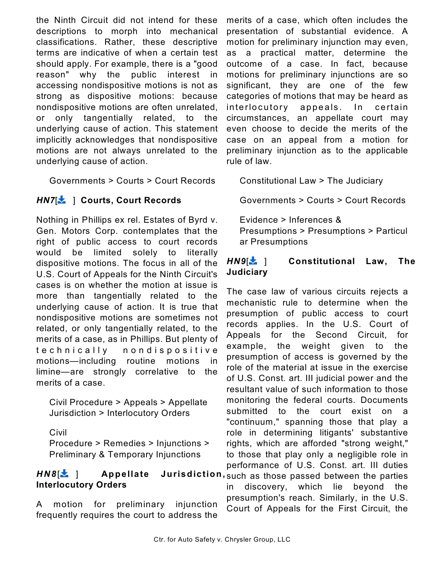the Ninth Circuit did not intend for these descriptions to morph into mechanical classifications. Rather, these descriptive terms are indicative of when a certain test should apply. For example, there is a "good reason" why the public interest in accessing nondispositive motions is not as strong as dispositive motions: because nondispositive motions are often unrelated, or only tangentially related, to the underlying cause of action. This statement implicitly acknowledges that nondispositive motions are not always unrelated to the underlying cause of action.

Governments > Courts > Court Records

### **HN7[** $\frac{1}{2}$  ] Courts, Court Records

Nothing in Phillips ex rel. Estates of Byrd v. Gen. Motors Corp. contemplates that the right of public access to court records would be limited solely to literally dispositive motions. The focus in all of the U.S. Court of Appeals for the Ninth Circuit's cases is on whether the motion at issue is more than tangentially related to the underlying cause of action. It is true that nondispositive motions are sometimes not related, or only tangentially related, to the merits of a case, as in Phillips. But plenty of technically nondispositive motions—including routine motions in limine—are strongly correlative to the merits of a case.

Civil Procedure > Appeals > Appellate Jurisdiction > Interlocutory Orders

Civil

Procedure > Remedies > Injunctions > Preliminary & Temporary Injunctions

### *HN8*[ ] **Appellate Jurisdiction ,** such as those passed between the parties **Interlocutory Orders**

A motion for preliminary injunction frequently requires the court to address the

merits of a case, which often includes the presentation of substantial evidence. A motion for preliminary injunction may even, as a practical matter, determine the outcome of a case. In fact, because motions for preliminary injunctions are so significant, they are one of the few categories of motions that may be heard as interlocutory appeals. In certain circumstances, an appellate court may even choose to decide the merits of the case on an appeal from a motion for preliminary injunction as to the applicable rule of law.

Constitutional Law > The Judiciary

Governments > Courts > Court Records

Evidence > Inferences & Presumptions > Presumptions > Particul ar Presumptions

### *HN9*[ ] **Constitutional Law, The Judiciary**

The case law of various circuits rejects a mechanistic rule to determine when the presumption of public access to court records applies. In the U.S. Court of Appeals for the Second Circuit, for example, the weight given to the presumption of access is governed by the role of the material at issue in the exercise of U.S. Const. art. III judicial power and the resultant value of such information to those monitoring the federal courts. Documents submitted to the court exist on a "continuum," spanning those that play a role in determining litigants' substantive rights, which are afforded "strong weight," to those that play only a negligible role in performance of U.S. Const. art. III duties in discovery, which lie beyond the presumption's reach. Similarly, in the U.S. Court of Appeals for the First Circuit, the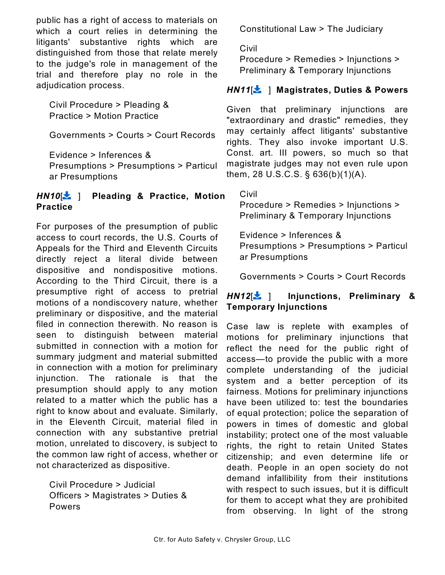public has a right of access to materials on which a court relies in determining the litigants' substantive rights which are distinguished from those that relate merely to the judge's role in management of the trial and therefore play no role in the adjudication process.

Civil Procedure > Pleading & Practice > Motion Practice

Governments > Courts > Court Records

Evidence > Inferences &

Presumptions > Presumptions > Particul ar Presumptions

### *HN10*[ ] **Pleading & Practice, Motion Practice**

For purposes of the presumption of public access to court records, the U.S. Courts of Appeals for the Third and Eleventh Circuits directly reject a literal divide between dispositive and nondispositive motions. According to the Third Circuit, there is a presumptive right of access to pretrial motions of a nondiscovery nature, whether preliminary or dispositive, and the material filed in connection therewith. No reason is seen to distinguish between material submitted in connection with a motion for summary judgment and material submitted in connection with a motion for preliminary injunction. The rationale is that the presumption should apply to any motion related to a matter which the public has a right to know about and evaluate. Similarly, in the Eleventh Circuit, material filed in connection with any substantive pretrial motion, unrelated to discovery, is subject to the common law right of access, whether or not characterized as dispositive.

Civil Procedure > Judicial Officers > Magistrates > Duties & Powers

Constitutional Law > The Judiciary

Civil

Procedure > Remedies > Injunctions > Preliminary & Temporary Injunctions

### *HN11*[ ] **Magistrates, Duties & Powers**

Given that preliminary injunctions are "extraordinary and drastic" remedies, they may certainly affect litigants' substantive rights. They also invoke important U.S. Const. art. III powers, so much so that magistrate judges may not even rule upon them, 28 U.S.C.S. § 636(b)(1)(A).

Civil

Procedure > Remedies > Injunctions > Preliminary & Temporary Injunctions

Evidence > Inferences & Presumptions > Presumptions > Particul ar Presumptions

Governments > Courts > Court Records

### *HN12*[ ] **Injunctions, Preliminary & Temporary Injunctions**

Case law is replete with examples of motions for preliminary injunctions that reflect the need for the public right of access—to provide the public with a more complete understanding of the judicial system and a better perception of its fairness. Motions for preliminary injunctions have been utilized to: test the boundaries of equal protection; police the separation of powers in times of domestic and global instability; protect one of the most valuable rights, the right to retain United States citizenship; and even determine life or death. People in an open society do not demand infallibility from their institutions with respect to such issues, but it is difficult for them to accept what they are prohibited from observing. In light of the strong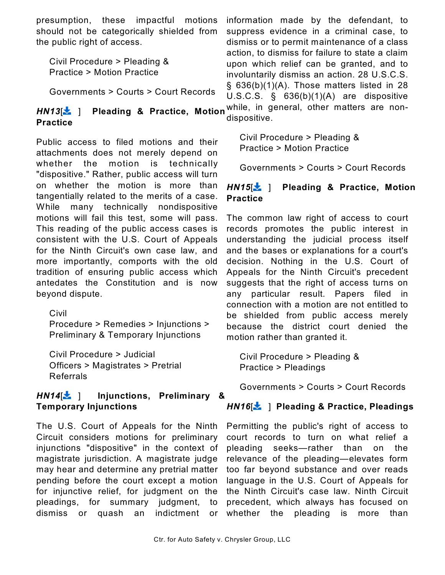presumption, these impactful motions should not be categorically shielded from the public right of access.

Civil Procedure > Pleading & Practice > Motion Practice

Governments > Courts > Court Records

### **Practice**

Public access to filed motions and their attachments does not merely depend on whether the motion is technically "dispositive." Rather, public access will turn on whether the motion is more than tangentially related to the merits of a case. While many technically nondispositive motions will fail this test, some will pass. This reading of the public access cases is consistent with the U.S. Court of Appeals for the Ninth Circuit's own case law, and more importantly, comports with the old tradition of ensuring public access which antedates the Constitution and is now beyond dispute.

Civil Procedure > Remedies > Injunctions > Preliminary & Temporary Injunctions

Civil Procedure > Judicial Officers > Magistrates > Pretrial Referrals

### *HN14*[ ] **Injunctions, Preliminary & Temporary Injunctions**

The U.S. Court of Appeals for the Ninth Circuit considers motions for preliminary injunctions "dispositive" in the context of magistrate jurisdiction. A magistrate judge may hear and determine any pretrial matter pending before the court except a motion for injunctive relief, for judgment on the pleadings, for summary judgment, to dismiss or quash an indictment or

*HN13*[ ] **Pleading & Practice, Motion** while, in general, other matters are noninformation made by the defendant, to suppress evidence in a criminal case, to dismiss or to permit maintenance of a class action, to dismiss for failure to state a claim upon which relief can be granted, and to involuntarily dismiss an action. 28 U.S.C.S. § 636(b)(1)(A). Those matters listed in 28 U.S.C.S. § 636(b)(1)(A) are dispositive dispositive.

> Civil Procedure > Pleading & Practice > Motion Practice

Governments > Courts > Court Records

### *HN15*[ ] **Pleading & Practice, Motion Practice**

The common law right of access to court records promotes the public interest in understanding the judicial process itself and the bases or explanations for a court's decision. Nothing in the U.S. Court of Appeals for the Ninth Circuit's precedent suggests that the right of access turns on any particular result. Papers filed in connection with a motion are not entitled to be shielded from public access merely because the district court denied the motion rather than granted it.

Civil Procedure > Pleading & Practice > Pleadings

Governments > Courts > Court Records

### *HN16*[ ] **Pleading & Practice, Pleadings**

Permitting the public's right of access to court records to turn on what relief a pleading seeks—rather than on the relevance of the pleading—elevates form too far beyond substance and over reads language in the U.S. Court of Appeals for the Ninth Circuit's case law. Ninth Circuit precedent, which always has focused on whether the pleading is more than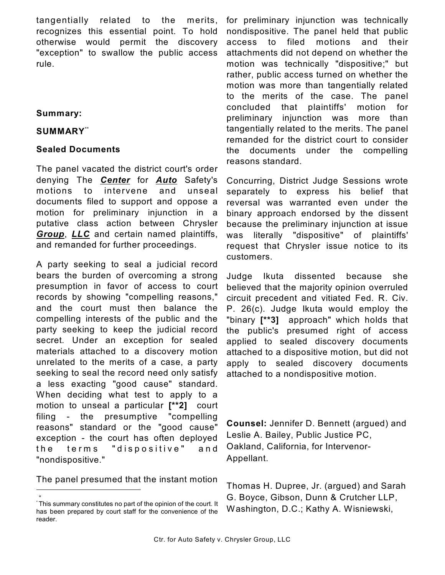tangentially related to the merits, recognizes this essential point. To hold otherwise would permit the discovery "exception" to swallow the public access rule.

### **Summary:**

### **SUMMARY**\*\*

### **Sealed Documents**

The panel vacated the district court's order denying The *Center* for *Auto* Safety's motions to intervene and unseal documents filed to support and oppose a motion for preliminary injunction in a putative class action between Chrysler *Group*, *LLC* and certain named plaintiffs, and remanded for further proceedings.

A party seeking to seal a judicial record bears the burden of overcoming a strong presumption in favor of access to court records by showing "compelling reasons," and the court must then balance the compelling interests of the public and the party seeking to keep the judicial record secret. Under an exception for sealed materials attached to a discovery motion unrelated to the merits of a case, a party seeking to seal the record need only satisfy a less exacting "good cause" standard. When deciding what test to apply to a motion to unseal a particular **[\*\*2]** court filing - the presumptive "compelling reasons" standard or the "good cause" exception - the court has often deployed the terms "dispositive" and "nondispositive."

The panel presumed that the instant motion

\*

for preliminary injunction was technically nondispositive. The panel held that public access to filed motions and their attachments did not depend on whether the motion was technically "dispositive;" but rather, public access turned on whether the motion was more than tangentially related to the merits of the case. The panel concluded that plaintiffs' motion for preliminary injunction was more than tangentially related to the merits. The panel remanded for the district court to consider the documents under the compelling reasons standard.

Concurring, District Judge Sessions wrote separately to express his belief that reversal was warranted even under the binary approach endorsed by the dissent because the preliminary injunction at issue was literally "dispositive" of plaintiffs' request that Chrysler issue notice to its customers.

Judge Ikuta dissented because she believed that the majority opinion overruled circuit precedent and vitiated Fed. R. Civ. P. 26(c). Judge Ikuta would employ the "binary **[\*\*3]** approach" which holds that the public's presumed right of access applied to sealed discovery documents attached to a dispositive motion, but did not apply to sealed discovery documents attached to a nondispositive motion.

**Counsel:** Jennifer D. Bennett (argued) and Leslie A. Bailey, Public Justice PC, Oakland, California, for Intervenor-Appellant.

Thomas H. Dupree, Jr. (argued) and Sarah G. Boyce, Gibson, Dunn & Crutcher LLP, Washington, D.C.; Kathy A. Wisniewski,

This summary constitutes no part of the opinion of the court. It \* has been prepared by court staff for the convenience of the reader.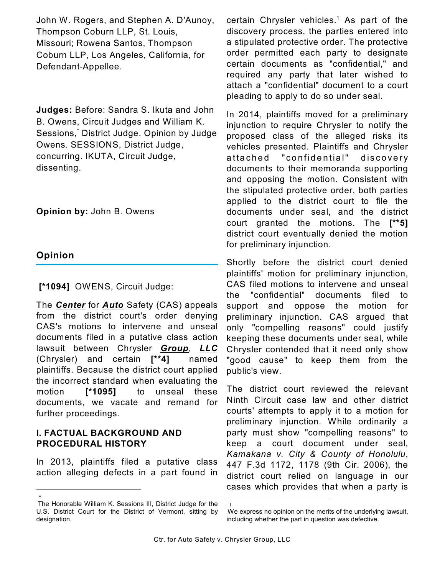John W. Rogers, and Stephen A. D'Aunoy, Thompson Coburn LLP, St. Louis, Missouri; Rowena Santos, Thompson Coburn LLP, Los Angeles, California, for Defendant-Appellee.

**Judges:** Before: Sandra S. Ikuta and John B. Owens, Circuit Judges and William K. Sessions,<sup>\*</sup> District Judge. Opinion by Judge Owens. SESSIONS, District Judge, concurring. IKUTA, Circuit Judge, dissenting.

**Opinion by:** John B. Owens

### **Opinion**

\*

 **[\*1094]** OWENS, Circuit Judge:

The *Center* for *Auto* Safety (CAS) appeals from the district court's order denying CAS's motions to intervene and unseal documents filed in a putative class action lawsuit between Chrysler *Group*, *LLC* (Chrysler) and certain **[\*\*4]** named plaintiffs. Because the district court applied the incorrect standard when evaluating the motion **[\*1095]** to unseal these documents, we vacate and remand for further proceedings.

### **I. FACTUAL BACKGROUND AND PROCEDURAL HISTORY**

In 2013, plaintiffs filed a putative class action alleging defects in a part found in certain Chrysler vehicles.<sup>1</sup> As part of the discovery process, the parties entered into a stipulated protective order. The protective order permitted each party to designate certain documents as "confidential," and required any party that later wished to attach a "confidential" document to a court pleading to apply to do so under seal.

In 2014, plaintiffs moved for a preliminary injunction to require Chrysler to notify the proposed class of the alleged risks its vehicles presented. Plaintiffs and Chrysler attached "confidential" discovery documents to their memoranda supporting and opposing the motion. Consistent with the stipulated protective order, both parties applied to the district court to file the documents under seal, and the district court granted the motions. The **[\*\*5]** district court eventually denied the motion for preliminary injunction.

Shortly before the district court denied plaintiffs' motion for preliminary injunction, CAS filed motions to intervene and unseal the "confidential" documents filed to support and oppose the motion for preliminary injunction. CAS argued that only "compelling reasons" could justify keeping these documents under seal, while Chrysler contended that it need only show "good cause" to keep them from the public's view.

The district court reviewed the relevant Ninth Circuit case law and other district courts' attempts to apply it to a motion for preliminary injunction. While ordinarily a party must show "compelling reasons" to keep a court document under seal, *Kamakana v. City & County of Honolulu*, 447 F.3d 1172, 1178 (9th Cir. 2006), the district court relied on language in our cases which provides that when a party is

1

The Honorable William K. Sessions III, District Judge for the U.S. District Court for the District of Vermont, sitting by designation.

We express no opinion on the merits of the underlying lawsuit, including whether the part in question was defective.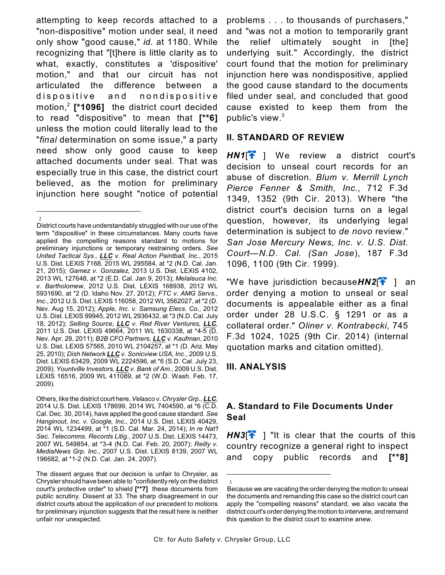attempting to keep records attached to a "non-dispositive" motion under seal, it need only show "good cause," *id.* at 1180. While recognizing that "[t]here is little clarity as to what, exactly, constitutes a 'dispositive' motion," and that our circuit has not articulated the difference between a dispositive and nondispositive motion,<sup>2</sup> [\*1096] the district court decided to read "dispositive" to mean that **[\*\*6]** unless the motion could literally lead to the "*final* determination on some issue," a party need show only good cause to keep attached documents under seal. That was especially true in this case, the district court believed, as the motion for preliminary injunction here sought "notice of potential

 $\mathfrak{Z}$ 

Others, like the district court here, *Velasco v. Chrysler Grp., LLC*, 2014 U.S. Dist. LEXIS 178699, 2014 WL 7404590, at \*6 (C.D. Cal. Dec. 30, 2014), have applied the good cause standard. *See Hanginout, Inc. v. Google, Inc.*, 2014 U.S. Dist. LEXIS 40429, 2014 WL 1234499, at \*1 (S.D. Cal. Mar. 24, 2014); *In re Nat'l Sec. Telecomms. Records Litig.*, 2007 U.S. Dist. LEXIS 14473, 2007 WL 549854, at \*3-4 (N.D. Cal. Feb. 20, 2007); *Reilly v. MediaNews Grp. Inc.*, 2007 U.S. Dist. LEXIS 8139, 2007 WL 196682, at \*1-2 (N.D. Cal. Jan. 24, 2007).

The dissent argues that our decision is unfair to Chrysler, as Chrysler should have been able to "confidently rely on the district court's protective order" to shield **[\*\*7]** these documents from public scrutiny. Dissent at 33. The sharp disagreement in our district courts about the application of our precedent to motions for preliminary injunction suggests that the result here is neither unfair nor unexpected.

problems . . . to thousands of purchasers," and "was not a motion to temporarily grant the relief ultimately sought in [the] underlying suit." Accordingly, the district court found that the motion for preliminary injunction here was nondispositive, applied the good cause standard to the documents filed under seal, and concluded that good cause existed to keep them from the public's view.<sup>3</sup>

### **II. STANDARD OF REVIEW**

HN1<sup>[2</sup>] We review a district court's decision to unseal court records for an abuse of discretion. *Blum v. Merrill Lynch Pierce Fenner & Smith, Inc.*, 712 F.3d 1349, 1352 (9th Cir. 2013). Where "the district court's decision turns on a legal question, however, its underlying legal determination is subject to *de novo* review." *San Jose Mercury News, Inc. v. U.S. Dist. Court—N.D. Cal. (San Jose*), 187 F.3d 1096, 1100 (9th Cir. 1999).

"We have jurisdiction because*HN2*[ ] an order denying a motion to unseal or seal documents is appealable either as a final order under 28 U.S.C. § 1291 or as a collateral order." *Oliner v. Kontrabecki*, 745 F.3d 1024, 1025 (9th Cir. 2014) (internal quotation marks and citation omitted).

### **III. ANALYSIS**

### **A. Standard to File Documents Under Seal**

 $H N3$ <sup> $\uparrow$ </sup> ] "It is clear that the courts of this country recognize a general right to inspect and copy public records and **[\*\*8]**

District courts have understandably struggled with our use of the term "dispositive" in these circumstances. Many courts have applied the compelling reasons standard to motions for preliminary injunctions or temporary restraining orders. *See United Tactical Sys., LLC v. Real Action Paintball, Inc.*, 2015 U.S. Dist. LEXIS 7168, 2015 WL 295584, at \*2 (N.D. Cal. Jan. 21, 2015); *Gamez v. Gonzalez*, 2013 U.S. Dist. LEXIS 4102, 2013 WL 127648, at \*2 (E.D. Cal. Jan 9, 2013); *Melaleuca Inc. v. Bartholomew*, 2012 U.S. Dist. LEXIS 168938, 2012 WL 5931690, at \*2 (D. Idaho Nov. 27, 2012); *FTC v. AMG Servs., Inc.*, 2012 U.S. Dist. LEXIS 116058, 2012 WL 3562027, at \*2 (D. Nev. Aug 15, 2012); *Apple, Inc. v. Samsung Elecs. Co.*, 2012 U.S. Dist. LEXIS 99945, 2012 WL 2936432, at \*3 (N.D. Cal. July 18, 2012); *Selling Source, LLC v. Red River Ventures, LLC*, 2011 U.S. Dist. LEXIS 49664, 2011 WL 1630338, at \*4-5 (D. Nev. Apr. 29, 2011); *B2B CFO Partners, LLC v. Kaufman*, 2010 U.S. Dist. LEXIS 57565, 2010 WL 2104257, at \*1 (D. Ariz. May 25, 2010); *Dish Network LLC v. Sonicview USA, Inc.*, 2009 U.S. Dist. LEXIS 63429, 2009 WL 2224596, at \*6 (S.D. Cal. July 23, 2009); *Yountville Investors, LLC v. Bank of Am.*, 2009 U.S. Dist. LEXIS 16516, 2009 WL 411089, at \*2 (W.D. Wash. Feb. 17, 2009).

<sup>3</sup> Because we are vacating the order denying the motion to unseal the documents and remanding this case so the district court can apply the "compelling reasons" standard, we also vacate the district court's order denying the motion to intervene, and remand this question to the district court to examine anew.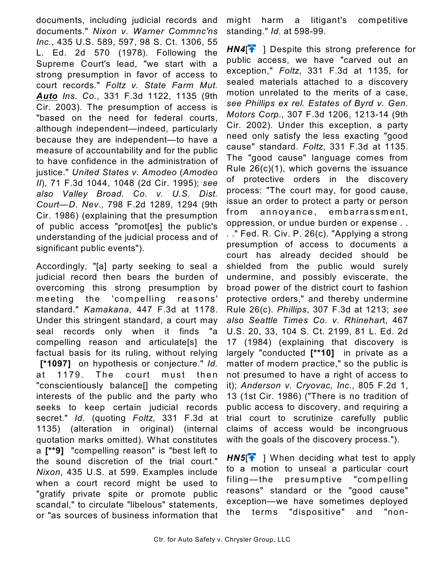documents, including judicial records and documents." *Nixon v. Warner Commnc'ns Inc.*, 435 U.S. 589, 597, 98 S. Ct. 1306, 55 L. Ed. 2d 570 (1978). Following the Supreme Court's lead, "we start with a strong presumption in favor of access to court records." *Foltz v. State Farm Mut. Auto Ins. Co.*, 331 F.3d 1122, 1135 (9th -Cir. 2003). The presumption of access is "based on the need for federal courts, although independent—indeed, particularly because they are independent—to have a measure of accountability and for the public to have confidence in the administration of justice." *United States v. Amodeo* (*Amodeo II*), 71 F.3d 1044, 1048 (2d Cir. 1995); *see also Valley Broad. Co. v. U.S. Dist. Court—D. Nev*., 798 F.2d 1289, 1294 (9th Cir. 1986) (explaining that the presumption of public access "promot[es] the public's understanding of the judicial process and of significant public events").

Accordingly, "[a] party seeking to seal a judicial record then bears the burden of overcoming this strong presumption by meeting the 'compelling reasons' standard." *Kamakana*, 447 F.3d at 1178. Under this stringent standard, a court may seal records only when it finds "a compelling reason and articulate[s] the factual basis for its ruling, without relying  **[\*1097]** on hypothesis or conjecture." *Id.* at 1179. The court must then "conscientiously balance[] the competing interests of the public and the party who seeks to keep certain judicial records secret." *Id.* (quoting *Foltz*, 331 F.3d at 1135) (alteration in original) (internal quotation marks omitted). What constitutes a **[\*\*9]** "compelling reason" is "best left to the sound discretion of the trial court." *Nixon*, 435 U.S. at 599. Examples include when a court record might be used to "gratify private spite or promote public scandal," to circulate "libelous" statements, or "as sources of business information that

might harm a litigant's competitive standing." *Id.* at 598-99.

*HN4*[ ] Despite this strong preference for public access, we have "carved out an exception," *Foltz*, 331 F.3d at 1135, for sealed materials attached to a discovery motion unrelated to the merits of a case, *see Phillips ex rel. Estates of Byrd v. Gen. Motors Corp.*, 307 F.3d 1206, 1213-14 (9th Cir. 2002). Under this exception, a party need only satisfy the less exacting "good cause" standard. *Foltz*, 331 F.3d at 1135. The "good cause" language comes from Rule 26(c)(1), which governs the issuance of protective orders in the discovery process: "The court may, for good cause, issue an order to protect a party or person from annoyance, embarrassment, oppression, or undue burden or expense . . . ." Fed. R. Civ. P. 26(c). "Applying a strong presumption of access to documents a court has already decided should be shielded from the public would surely undermine, and possibly eviscerate, the broad power of the district court to fashion protective orders," and thereby undermine Rule 26(c). *Phillips*, 307 F.3d at 1213; *see also Seattle Times Co. v. Rhinehar*t, 467 U.S. 20, 33, 104 S. Ct. 2199, 81 L. Ed. 2d 17 (1984) (explaining that discovery is largely "conducted **[\*\*10]** in private as a matter of modern practice," so the public is not presumed to have a right of access to it); *Anderson v. Cryovac, Inc.*, 805 F.2d 1, 13 (1st Cir. 1986) ("There is no tradition of public access to discovery, and requiring a trial court to scrutinize carefully public claims of access would be incongruous with the goals of the discovery process.").

*HN5*<sup> $\uparrow$ </sup> ] When deciding what test to apply to a motion to unseal a particular court filing*—*the presumptive "compelling reasons" standard or the "good cause" exception*—*we have sometimes deployed the terms "dispositive" and "non-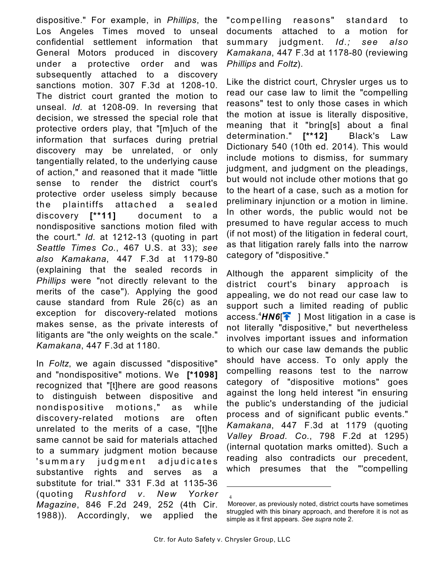dispositive." For example, in *Phillips*, the Los Angeles Times moved to unseal confidential settlement information that General Motors produced in discovery under a protective order and was subsequently attached to a discovery sanctions motion. 307 F.3d at 1208-10. The district court granted the motion to unseal. *Id.* at 1208-09. In reversing that decision, we stressed the special role that protective orders play, that "[m]uch of the information that surfaces during pretrial discovery may be unrelated, or only tangentially related, to the underlying cause of action," and reasoned that it made "little sense to render the district court's protective order useless simply because the plaintiffs attached a sealed discovery **[\*\*11]** document to a nondispositive sanctions motion filed with the court." *Id.* at 1212-13 (quoting in part *Seattle Times Co.*, 467 U.S. at 33); *see also Kamakana*, 447 F.3d at 1179-80 (explaining that the sealed records in *Phillips* were "not directly relevant to the merits of the case"). Applying the good cause standard from Rule 26(c) as an exception for discovery-related motions makes sense, as the private interests of litigants are "the only weights on the scale." *Kamakana*, 447 F.3d at 1180.

In *Foltz*, we again discussed "dispositive" and "nondispositive" motions. We **[\*1098]** recognized that "[t]here are good reasons to distinguish between dispositive and nondispositive motions," as while discovery-related motions are often unrelated to the merits of a case, "[t]he same cannot be said for materials attached to a summary judgment motion because 'summary judgment adjudicates substantive rights and serves as a substitute for trial.'" 331 F.3d at 1135-36 (quoting *Rushford v. New Yorker Magazine*, 846 F.2d 249, 252 (4th Cir. 1988)). Accordingly, we applied the

"com pelling reasons" standard to documents attached to a motion for summary judgment. *Id.; see also Kamakana*, 447 F.3d at 1178-80 (reviewing *Phillips* and *Foltz*).

Like the district court, Chrysler urges us to read our case law to limit the "compelling reasons" test to only those cases in which the motion at issue is literally dispositive, meaning that it "bring[s] about a final determination." **[\*\*12]** Black's Law Dictionary 540 (10th ed. 2014). This would include motions to dismiss, for summary judgment, and judgment on the pleadings, but would not include other motions that go to the heart of a case, such as a motion for preliminary injunction or a motion in limine. In other words, the public would not be presumed to have regular access to much (if not most) of the litigation in federal court, as that litigation rarely falls into the narrow category of "dispositive."

Although the apparent simplicity of the district court's binary approach is appealing, we do not read our case law to support such a limited reading of public access.  $4$ **HN6<sup>** $\uparrow$ **</sup> 1 Most litigation in a case is** not literally "dispositive," but nevertheless involves important issues and information to which our case law demands the public should have access. To only apply the compelling reasons test to the narrow category of "dispositive motions" goes against the long held interest "in ensuring the public's understanding of the judicial process and of significant public events." *Kamakana*, 447 F.3d at 1179 (quoting *Valley Broad. Co.*, 798 F.2d at 1295) (internal quotation marks omitted). Such a reading also contradicts our precedent, which presumes that the "'compelling

<sup>4</sup>

Moreover, as previously noted, district courts have sometimes struggled with this binary approach, and therefore it is not as simple as it first appears. *See supra* note 2.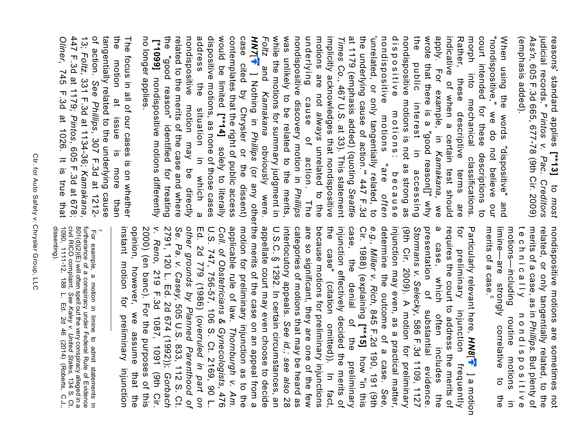judicial records." Pintos v. Pac. Creditors (emphasis added). (emphasis added). *Ass'n*judicial records." reasons' standard applies, 605 F.3d 665, 677-78 (9th Cir. 2009) *Pintos v. Pac. Creditors*  **[\*\*13]**  $\sigma$ *most*

morph contemplates that the right of public access<br>would be limited [\*\*14] solely to literally<br>dispositive motions, as none of those cases the while the motions for summary judgment in was unlikely to be related to the merits, underlying motions are not always unrelated to the implicitly acknowledges that nondispositive dispositive motions: because<br>nondispositive motions "are *often* nondispositive motions is not as strong as wrote that there is a "good reason[]" why Rather, these descriptive terms are<br>indicative of when a certain test should<br>apply. For example, in *Kamakana*, we indicative of when a court intended for these descriptions to "nondispositive," we do not believe When using the words "dispositive" address the situation in which a address dispositive motions, as none of those cases would be limited contemplates that the right of public access case cited by Chrysler or the dissent) *HN7*[ *Foltz* while the motions for summary judgment in was unlikely to be related to the merits, *Phillips* nondispositive discovery motion in underlying cause of action. The motions are not implicitly acknowledges that nondispositive *Times Co.*at 1179 (emphasis added) (quoting the underlying cause of action.'" 447 F.3d 'unrelated, or only tangentially related, to nondispositive motions "are dispositive motions: because nondispositive motions is not as strong as the public interest in accessing wrote that there is a "good reason[]" why apply. For example, in indicative of when a certain test should Rather, Rather, these descriptive terms are morph into mechanical classifications. court intended for these descriptions to "nondispositive," we do not believe our When using the words "dispositive" and public interest in accessing and +I into mechanicatications. ] Nothing in these  $\frac{1}{2}$ , 467 U.S. at 33). This statement *Kamakana*cause of action. The situation in *Phillips* obviously were. unrelated to the solely to literally *Kamakana* (or any other which *Seattle* and our  $\omega$ 

the 447 F.3d at 1179; Pintos, 605 F.3d at 678; of action. See Phillips, 307 F.3d at 1212-**Oliner, 745 F.3d at 1026. It is true that** 447 F.3d at 1179; 13<br>:. tangentially related to the underlying cause tangentially related to the underlying cause the motion at issue is more than The focus in all of our cases is on whether The focus in all of our cases is on whether motion at issue is *Foltz*, 331 F.3d at 1134-36; , 745 F.3d at 1026. It is true that *See Phillips*, 307 F.3d at 1212- , 605 F.3d at 678; more than *Kamakana*,

 **[\*1099]**  the "good reason" identified for treating related to the merits of the case and where nondispositive motion may be directly

"good reason" identified for treating

related to the merits of the case and where nondispositive may be directly

no longer applies.

no longer applies.

the

nondispositive motions differently

nondispositive motions are sometimes not limine—are strongly correlative<br>merits of a case.<sup>5</sup> technically related, or only tangentially related, to the<br>merits of a case, as in *Phillips*. But plenty of merits of a case. limine—are strongly correlative to the motions technically nondispositive merits of a case, as in related, or only tangentially related, to the nondispositive motions are sometimes not *—i*ncluding routine motions in nondispositive . But plenty of  $\vec{c}$ the  $\overline{5}$ 

for appellate court may even choose to decide U.S.C. § 1292. In certain circumstances, an categories of motions that may be heard as<br>interlocutory appeals. See *id.; see also* 28 are so significant, they are one of the few because motions for preliminary injunctions injunction effectively decided the merits of<br>the case" (citation omitted)). In fact, case, the e.g., *Miller v. Rich*, 845 F.2d 190, 191 (9th<br>Cir. 1988) (explaining **[\*\*15]** how "in this<br>case, the denial of the preliminary determine the outcome of a case. injunction may even, as a practical matter,<br>determine the outcome of a case. See, (9th Cir. 2009). A motion for preliminary Stormans v. Selecky, 586 F.3d 1109, 1127 presentation  $\boldsymbol{\omega}$ requires the court to address the merits of appellate court may even choose to decide U.S.C. § 1292. In certain circumstances, an interlocutory appeals. categories of motions that may be heard as are so significant, they are one of the few because motions for preliminary injunctions the case" (citation omitted)). In fact, injunction effectively decided the merits of case, the denial of the preliminary Cir. 1988) (explaining*e.g., Miller v. Rich*determine the outcome of a case. injunction may even, as a practical matter, (9th Cir. 2009). A motion for preliminary *Stormans v. Selecky* presentation of substantial evidence. a case, which often includes the requires the court to address the merits of for preliminary injunction frequently Particularly relevant here, case, which preliminary of substantial , 845 F.2d 190, 191 (9th injunction often includes , 586 F.3d 1109, 1127 *See id.; see alsoHN8*[ preliminary how "in this +I frequently evidence. ] a motion the

applicable rule of law. Thornburgh v. Am. motion for preliminary injunction as to the instant motion for preliminary injunction 2000) (en banc). For the purposes of this *v. Reno*, 219 F.3d 1087, 1091 (9th Cir. *Se. Pa. v. Casey*, 505 U.S. 833, 112 S. Ct.<br>2791, 120 L. Ed. 2d 674 (1992)); *Gorbach* other grounds by Planned Parenthood of Coll. of Obstetricians & Gynecologists, 476<br>U.S. 747, 756-57, 106 S. Ct. 2169, 90 L.<br>Ed. 2d 779 (1986) (overruled in part on opinion, however, we assume that the instant motion for preliminary injunction opinion, however, we assume that the 2000) (en banc). For the purposes of this 2791, 120 L. Ed. 2d 674 (1992)); *Se. Pa. v. Casey other grounds by Planned Parenthood of* Ed. 2d 779 (1986) ( U.S. 747, 756-57, 106 S. Ct. 2169, 90 L. *Coll. of Obstetricians & Gynecologists*applicable rule of law. motion for preliminary injunction as to the the merits of the case on an appeal from a , 219 F.3d 1087, 1091 (9th Cir. , 505 U.S. 833, 112 S. Ct. *overruled in part on Thornburgh v. Am.*

 $\frac{5}{5}$ or example, a motion in limine to admit statements in trutherance of a conspiracy under Federal Rule of Evidence furtherance of a conspiracy under Federal Rule of Evidence for trutherance of a conspiracy under Fe dissenting). dissenting). 1090, 1111-12, 188 L. Ed. 2d 46 (2014) (Roberts, C.J., civil RICO complaint. 801(d)(2)(E) will often spell out the very conspiracy alleged in a furtherance of a conspiracy under Federal Rule of Evidence For example, a motion in limine to admit statements in *See Kaley v. United States*, 134 S. Ct.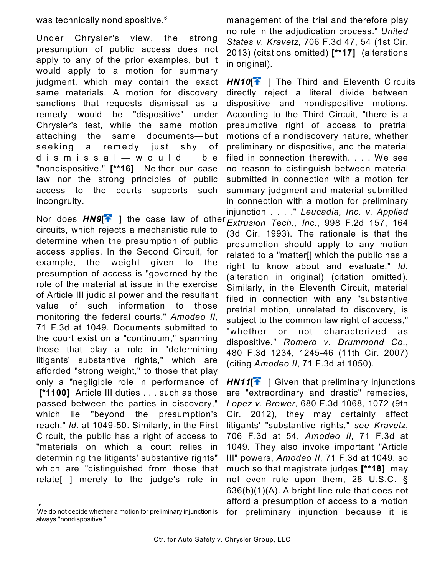was technically nondispositive.<sup>6</sup>

Under Chrysler's view, the strong presumption of public access does not apply to any of the prior examples, but it would apply to a motion for summary judgment, which may contain the exact same materials. A motion for discovery sanctions that requests dismissal as a remedy would be "dispositive" under Chrysler's test, while the same motion attaching the same documents—but seeking a remedy just shy of d i s m i s s a l — w o u l d b e "nondispositive." **[\*\*16]** Neither our case law nor the strong principles of public access to the courts supports such incongruity.

Nor does  $H N9$ <sup>[</sup>] the case law of other circuits, which rejects a mechanistic rule to determine when the presumption of public access applies. In the Second Circuit, for example, the weight given to the presumption of access is "governed by the role of the material at issue in the exercise of Article III judicial power and the resultant value of such information to those monitoring the federal courts." *Amodeo II*, 71 F.3d at 1049. Documents submitted to the court exist on a "continuum," spanning those that play a role in "determining litigants' substantive rights," which are afforded "strong weight," to those that play only a "negligible role in performance of  **[\*1100]** Article III duties . . . such as those passed between the parties in discovery," which lie "beyond the presumption's reach." *Id.* at 1049-50. Similarly, in the First Circuit, the public has a right of access to "materials on which a court relies in determining the litigants' substantive rights" which are "distinguished from those that relate[ ] merely to the judge's role in

6 We do not decide whether a motion for preliminary injunction is always "nondispositive."

management of the trial and therefore play no role in the adjudication process." *United States v. Kravetz*, 706 F.3d 47, 54 (1st Cir. 2013) (citations omitted) **[\*\*17]** (alterations in original).

**HN10<sup>[24]</sup>** The Third and Eleventh Circuits directly reject a literal divide between dispositive and nondispositive motions. According to the Third Circuit, "there is a presumptive right of access to pretrial motions of a nondiscovery nature, whether preliminary or dispositive, and the material filed in connection therewith. . . . We see no reason to distinguish between material submitted in connection with a motion for summary judgment and material submitted in connection with a motion for preliminary injunction . . . ." *Leucadia, Inc. v. Applied Extrusion Tech., Inc.*, 998 F.2d 157, 164 (3d Cir. 1993). The rationale is that the presumption should apply to any motion related to a "matter[] which the public has a right to know about and evaluate." *Id.* (alteration in original) (citation omitted). Similarly, in the Eleventh Circuit, material filed in connection with any "substantive pretrial motion, unrelated to discovery, is subject to the common law right of access," "whether or not characterized as dispositive." *Romero v. Drummond Co.*, 480 F.3d 1234, 1245-46 (11th Cir. 2007) (citing *Amodeo II*, 71 F.3d at 1050).

**HN11<sup>[4]</sup>** Given that preliminary injunctions are "extraordinary and drastic" remedies, *Lopez v. Brewer*, 680 F.3d 1068, 1072 (9th Cir. 2012), they may certainly affect litigants' "substantive rights," *see Kravetz*, 706 F.3d at 54, *Amodeo II*, 71 F.3d at 1049. They also invoke important "Article III" powers, *Amodeo II*, 71 F.3d at 1049, so much so that magistrate judges **[\*\*18]** may not even rule upon them, 28 U.S.C. § 636(b)(1)(A). A bright line rule that does not afford a presumption of access to a motion for preliminary injunction because it is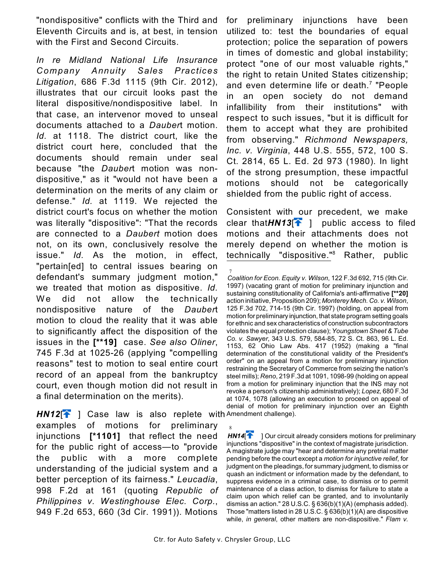"nondispositive" conflicts with the Third and Eleventh Circuits and is, at best, in tension with the First and Second Circuits.

*In re Midland National Life Insurance Company Annuity Sales Practices Litigation*, 686 F.3d 1115 (9th Cir. 2012), illustrates that our circuit looks past the literal dispositive/nondispositive label. In that case, an intervenor moved to unseal documents attached to a *Dauber*t motion. *Id.* at 1118. The district court, like the district court here, concluded that the documents should remain under seal because "the *Dauber*t motion was nondispositive," as it "would not have been a determination on the merits of any claim or defense." *Id.* at 1119. We rejected the district court's focus on whether the motion was literally "dispositive": "That the records are connected to a *Daubert* motion does not, on its own, conclusively resolve the issue." *Id.* As the motion, in effect, "pertain[ed] to central issues bearing on defendant's summary judgment motion," we treated that motion as dispositive. *Id.* We did not allow the technically nondispositive nature of the *Dauber*t motion to cloud the reality that it was able to significantly affect the disposition of the issues in the **[\*\*19]** case. *See also Oliner*, 745 F.3d at 1025-26 (applying "compelling reasons" test to motion to seal entire court record of an appeal from the bankruptcy court, even though motion did not result in a final determination on the merits).

HN12<sup>[4</sup>] Case law is also replete with Amendment challenge). examples of motions for preliminary injunctions **[\*1101]** that reflect the need for the public right of access—to "provide the public with a more complete understanding of the judicial system and a better perception of its fairness." *Leucadia*, 998 F.2d at 161 (quoting *Republic of Philippines v. Westinghouse Elec. Corp.*, 949 F.2d 653, 660 (3d Cir. 1991)). Motions

for preliminary injunctions have been utilized to: test the boundaries of equal protection; police the separation of powers in times of domestic and global instability; protect "one of our most valuable rights," the right to retain United States citizenship; and even determine life or death. $<sup>7</sup>$  "People</sup> in an open society do not demand infallibility from their institutions" with respect to such issues, "but it is difficult for them to accept what they are prohibited from observing." *Richmond Newspapers, Inc. v. Virginia*, 448 U.S. 555, 572, 100 S. Ct. 2814, 65 L. Ed. 2d 973 (1980). In light of the strong presumption, these impactful motions should not be categorically shielded from the public right of access.

Consistent with our precedent, we make clear that $H N 13$ <sup>[ $\uparrow$ </sup>] public access to filed motions and their attachments does not merely depend on whether the motion is technically "dispositive."<sup>8</sup> Rather, public

8 **HN14<sup>[1]</sup>** ] Our circuit already considers motions for preliminary injunctions "dispositive" in the context of magistrate jurisdiction. A magistrate judge may "hear and determine any pretrial matter pending before the court except a *motion for injunctive relief*, for judgment on the pleadings, for summary judgment, to dismiss or quash an indictment or information made by the defendant, to suppress evidence in a criminal case, to dismiss or to permit maintenance of a class action, to dismiss for failure to state a claim upon which relief can be granted, and to involuntarily dismiss an action." 28 U.S.C. § 636(b)(1)(A) (emphasis added). Those "matters listed in 28 U.S.C. § 636(b)(1)(A) are dispositive while, *in general*, other matters are non-dispositive." *Flam v.*

<sup>7</sup> *Coalition for Econ. Equity v. Wilson*, 122 F.3d 692, 715 (9th Cir. 1997) (vacating grant of motion for preliminary injunction and sustaining constitutionality of California's anti-affirmative **[\*\*20]** action initiative, Proposition 209); *Monterey Mech. Co. v. Wilson*, 125 F.3d 702, 714-15 (9th Cir. 1997) (holding, on appeal from motion for preliminary injunction, that state program setting goals for ethnic and sex characteristics of construction subcontractors violates the equal protection clause); *Youngstown Sheet & Tube Co. v. Sawyer*, 343 U.S. 579, 584-85, 72 S. Ct. 863, 96 L. Ed. 1153, 62 Ohio Law Abs. 417 (1952) (making a "final determination of the constitutional validity of the President's order" on an appeal from a motion for preliminary injunction restraining the Secretary of Commerce from seizing the nation's steel mills); *Reno*, 219 F.3d at 1091, 1098-99 (holding on appeal from a motion for preliminary injunction that the INS may not revoke a person's citizenship administratively); *Lopez*, 680 F.3d at 1074, 1078 (allowing an execution to proceed on appeal of denial of motion for preliminary injunction over an Eighth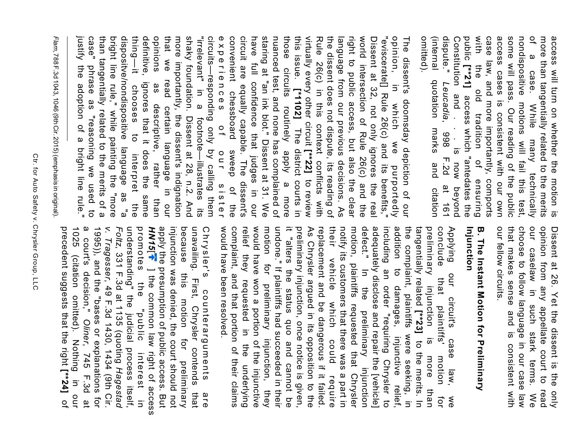omitted). (internal quotation marks and citation dispute." access cases is consistent with our own some will pass. Our reading of the public of a case. While many technically<br>nondispositive motions will fail this test, more than tangentially related to the merits acess will turn on whether the motion is (internal quotation marks and citation Constitution and Constitution and . . . is now beyond public with the old tradition of ensuring case law, and more importantly, comports access cases is consistent with our own some will pass. Our reading of the public nondispositive motions will fail this test, of a case. While many technically more than tangentially related to the merits access will turn on whether the motion is  **[\*\*21]** on and . . . Is<br>*Leucadia*, 998 access which "antedates the , 998 F.2d at 161  $\frac{1}{\omega}$  $F.2d$ now beyond 161<br>161

case" experiences of our sister<br>circuits—responding only by calling them convenient chessboard sweep of the<br>experiences of our sister have justify the adoption of a bright line rule." than tangentially related to the merits of a bright line rule," while painting the "more dispositve/nondispositive language as "a thing-lt chooses to definitive, opinions that we read certain language in our shaky foundation. Dissent at 28, n.2. And<br>more importantly, the dissent's indignation "irrelevant" in a footnote--illustrates its circuit are equally capable. The dissent's staring at "an ink blot." Dissent at 31. We nuanced test, and none has complained of those circuits routinely apply a more this issue. [\*1102] The district courts in the dissent does not dispute, its reading of right to public access, but also the clear Dissent at 32, not only ignores the real<br>world intersection of Rule 26(c) and the opinion, in which we purportedly<br>"eviscerate[] Rule 26(c) and its benefits," The justify the adoption of a bright line rule." case" phrase as "reasoning we used to than tangentially related to the merits of a bright line rule," while painting the "more dispositve/nondispositive language as "a thing—it chooses to interpret the definitive, ignores that it does the same opinions as descriptive, rather than that we read certain language in our more importantly, the dissent's indignation shaky foundation. Dissent at 28, n.2. And "irrelevant" in a footnote—illustrates its circuits—responding only by calling them experiences of our sister convenient chessboard sweep of the circuit are equally capable. The dissent's have full confidence that judges in our staring at "an ink blot." Dissent at 31. We nuanced test, and none has complained of those circuits routinely apply a more this issue. virtually every other circuit Rule 26(c) in this context conflicts with Rule 26(c) in this context conflicts with the dissent does not dispute, its reading of language from our previous decisions. As language from our previous decisions. As right to public access, but also the clear world intersection of Rule 26(c) and the Dissent at 32, not only ignores the real "eviscerate[] Rule 26(c) and its benefits," opinion, in which we purportedly The dissent's doomsday depiction of our dissent's domsday depiction of our phrase as "reasoning we used to full confidence that judges in our as descriptive, rather than ignores that it does the same The district courts in interpret the  **[\*\*22]** to review

Flam, 788 F.3d 1043, 1046 (9th Cir. 2015) (emphasis in original) *Flam*, 788 F.3d 1043, 1046 (9th Cir. 2015) (emphasis in original).

> our caselaw in opinion from any appellate court to read our fellow circuits. that makes sense and is consistent with choose to follow language in our case law Dissent at 26. Yet the dissent is the only our fellow circuits. that makes sense and is consistent with choose to follow language in our case law our caselaw in such stark terms. We opinion from any appellate court to read Dissent at 26. Yet the dissent is the only such stark terms.  $\lessapprox$

### Injunction **B. The Instant Motion for Preliminary Injunction B. The Instant Motion for Preliminary**

would have won a portion of the injunctive<br>relief they requested in the underlying addition to damages, injunctive relief,<br>including an order "requiring Chrysler to tangentially related [\*\*23] to the merits. In<br>the complaint, plaintiffs were seeking, in would have been resolved. complaint, and that portion of their claims motion for preliminary injunction, they undone." If plaintiffs had succeeded in their As Chrysler argued in its opposition to the replacement and be dangerous if it failed. their vehicle notify its customers that there was a part in motion, plaintiffs requested that Chrysler defect." adequately disclose and repair the [vehicle] preliminary conclude **Applying** it "alters the status quo and cannot be preliminary injunction, once notice is given, would have been resolved. complaint, and that portion of their claims relief they requested in the underlying would have won a portion of the injunctive motion for preliminary injunction, they undone." If plaintiffs had succeeded in their it "alters the status quo and cannot be preliminary injunction, once notice is given, As Chrysler argued in its opposition to the replacement and be dangerous if it failed. their vehicle which could require notify its customers that there was a part in motion, plaintiffs requested that Chrysler defect." In the preliminary injunction adequately disclose and repair the [vehicle] including an order "requiring Chrysler to addition to damages, injunctive relief, the complaint, plaintiffs were seeking, in tangentially related preliminary injunction is more than conclude that plaintiffs' motion for Applying our circuit's case law, we In the preliminary injunction our circuit's that plaintiffs' injunction which could  $\frac{1}{2}$ case to the merits. In motion more underlying law, require than đ  $\frac{1}{\sqrt{2}}$ 

1025 a court's decision," Oliner, 745 F.3d at 1995)), and the "bases or explanations for v. Tragesser, 49 F.3d 1430, 1434 (9th Cir. promotes the "pric interest in injunction was denied, the court should not unavailing. First, Chrysler contends Chrysler's precedent suggests that the right 1025 (citation omitted). Nothing in our a court's decision," 1995)), and the "bases or explanations for *v. TragesserFoltz* understanding" the judicial process itself, promotes the "public interest in HN15 apply the presumption of public access. But injunction was denied, the court should not because this motion for preliminary because unavailing. First, Chrysler contends that Chrysler's counterarguments are , 331 F.3d at 1135 (quoting (oitation omitted). Nothing ] the common law right of access  $\frac{1}{2}$ , 49 F.3d 1430, 1434 (9th Cir. counterarguments motion for , 745 F.3d at preliminary  **[\*\*24]** *Hagestad* in on that are of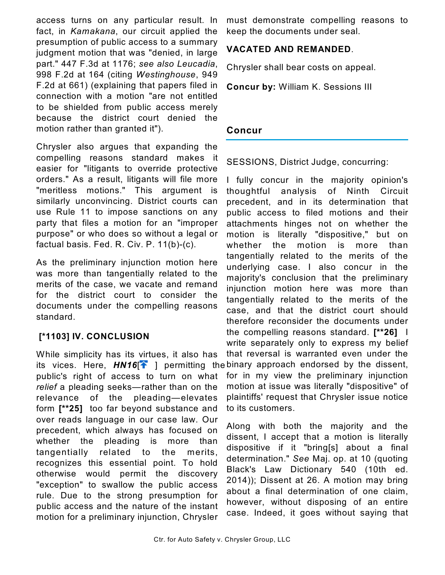access turns on any particular result. In fact, in *Kamakana*, our circuit applied the presumption of public access to a summary judgment motion that was "denied, in large part." 447 F.3d at 1176; *see also Leucadia*, 998 F.2d at 164 (citing *Westinghouse*, 949 F.2d at 661) (explaining that papers filed in connection with a motion "are not entitled to be shielded from public access merely because the district court denied the motion rather than granted it").

Chrysler also argues that expanding the compelling reasons standard makes it easier for "litigants to override protective orders." As a result, litigants will file more "meritless motions." This argument is similarly unconvincing. District courts can use Rule 11 to impose sanctions on any party that files a motion for an "improper purpose" or who does so without a legal or factual basis. Fed. R. Civ. P. 11(b)-(c).

As the preliminary injunction motion here was more than tangentially related to the merits of the case, we vacate and remand for the district court to consider the documents under the compelling reasons standard.

### **[\*1103] IV. CONCLUSION**

While simplicity has its virtues, it also has its vices. Here,  $H N16[\hat{\uparrow}]$  permitting thebinary approach endorsed by the dissent, public's right of access to turn on what *relief* a pleading seeks—rather than on the relevance of the pleading—elevates form **[\*\*25]** too far beyond substance and over reads language in our case law. Our precedent, which always has focused on whether the pleading is more than tangentially related to the merits, recognizes this essential point. To hold otherwise would permit the discovery "exception" to swallow the public access rule. Due to the strong presumption for public access and the nature of the instant motion for a preliminary injunction, Chrysler

must demonstrate compelling reasons to keep the documents under seal.

### **VACATED AND REMANDED**.

Chrysler shall bear costs on appeal.

**Concur by:** William K. Sessions III

### **Concur**

SESSIONS, District Judge, concurring:

I fully concur in the majority opinion's thoughtful analysis of Ninth Circuit precedent, and in its determination that public access to filed motions and their attachments hinges not on whether the motion is literally "dispositive," but on whether the motion is more than tangentially related to the merits of the underlying case. I also concur in the majority's conclusion that the preliminary injunction motion here was more than tangentially related to the merits of the case, and that the district court should therefore reconsider the documents under the compelling reasons standard. **[\*\*26]** I write separately only to express my belief that reversal is warranted even under the for in my view the preliminary injunction motion at issue was literally "dispositive" of plaintiffs' request that Chrysler issue notice to its customers.

Along with both the majority and the dissent, I accept that a motion is literally dispositive if it "bring[s] about a final determination." *See* Maj. op. at 10 (quoting Black's Law Dictionary 540 (10th ed. 2014)); Dissent at 26. A motion may bring about a final determination of one claim, however, without disposing of an entire case. Indeed, it goes without saying that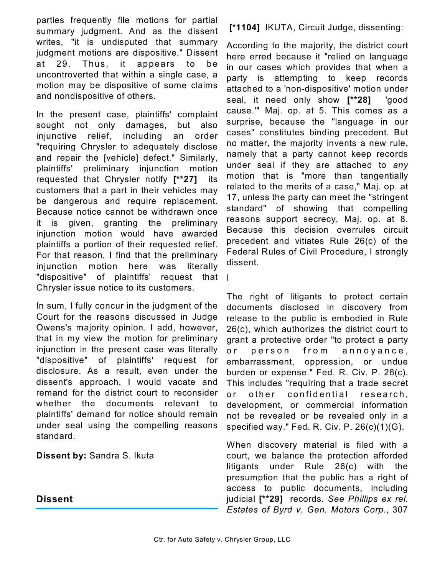parties frequently file motions for partial summary judgment. And as the dissent writes, "it is undisputed that summary judgment motions are dispositive." Dissent at 29. Thus, it appears to be uncontroverted that within a single case, a motion may be dispositive of some claims and nondispositive of others.

In the present case, plaintiffs' complaint sought not only damages, but also injunctive relief, including an order "requiring Chrysler to adequately disclose and repair the [vehicle] defect." Similarly, plaintiffs' preliminary injunction motion requested that Chrysler notify **[\*\*27]** its customers that a part in their vehicles may be dangerous and require replacement. Because notice cannot be withdrawn once it is given, granting the preliminary injunction motion would have awarded plaintiffs a portion of their requested relief. For that reason, I find that the preliminary injunction motion here was literally "dispositive" of plaintiffs' Chrysler issue notice to its customers. request that I

In sum, I fully concur in the judgment of the Court for the reasons discussed in Judge Owens's majority opinion. I add, however, that in my view the motion for preliminary injunction in the present case was literally "dispositive" of plaintiffs' request for disclosure. As a result, even under the dissent's approach, I would vacate and remand for the district court to reconsider whether the documents relevant to plaintiffs' demand for notice should remain under seal using the compelling reasons standard.

**Dissent by:** Sandra S. Ikuta

**Dissent**

 **[\*1104]** IKUTA, Circuit Judge, dissenting:

According to the majority, the district court here erred because it "relied on language in our cases which provides that when a party is attempting to keep records attached to a 'non-dispositive' motion under seal, it need only show **[\*\*28]** 'good cause.'" Maj. op. at 5. This comes as a surprise, because the "language in our cases" constitutes binding precedent. But no matter, the majority invents a new rule, namely that a party cannot keep records under seal if they are attached to *any* motion that is "more than tangentially related to the merits of a case," Maj. op. at 17, unless the party can meet the "stringent standard" of showing that compelling reasons support secrecy, Maj. op. at 8. Because this decision overrules circuit precedent and vitiates Rule 26(c) of the Federal Rules of Civil Procedure, I strongly dissent.

The right of litigants to protect certain documents disclosed in discovery from release to the public is embodied in Rule 26(c), which authorizes the district court to grant a protective order "to protect a party or person from annoyance, embarrassment, oppression, or undue burden or expense." Fed. R. Civ. P. 26(c). This includes "requiring that a trade secret or other confidential research, development, or commercial information not be revealed or be revealed only in a specified way." Fed. R. Civ. P. 26(c)(1)(G).

When discovery material is filed with a court, we balance the protection afforded litigants under Rule 26(c) with the presumption that the public has a right of access to public documents, including judicial **[\*\*29]** records. *See Phillips ex rel. Estates of Byrd v. Gen. Motors Corp.*, 307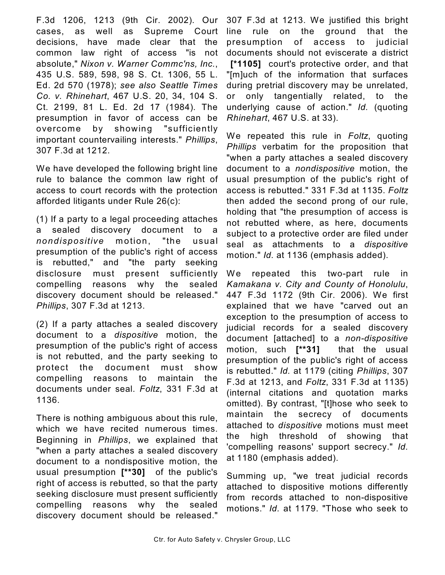F.3d 1206, 1213 (9th Cir. 2002). Our cases, as well as Supreme Court decisions, have made clear that the common law right of access "is not absolute," *Nixon v. Warner Commc'ns, Inc.*, 435 U.S. 589, 598, 98 S. Ct. 1306, 55 L. Ed. 2d 570 (1978); *see also Seattle Times Co. v. Rhinehart*, 467 U.S. 20, 34, 104 S. Ct. 2199, 81 L. Ed. 2d 17 (1984). The presumption in favor of access can be overcome by showing "sufficiently important countervailing interests." *Phillips*, 307 F.3d at 1212.

We have developed the following bright line rule to balance the common law right of access to court records with the protection afforded litigants under Rule 26(c):

(1) If a party to a legal proceeding attaches a sealed discovery document to a *nondispositive* m otion, "the usual presumption of the public's right of access is rebutted," and "the party seeking disclosure must present sufficiently compelling reasons why the sealed discovery document should be released." *Phillips*, 307 F.3d at 1213.

(2) If a party attaches a sealed discovery document to a *dispositive* motion, the presumption of the public's right of access is not rebutted, and the party seeking to protect the document must show compelling reasons to maintain the documents under seal. *Foltz*, 331 F.3d at 1136.

There is nothing ambiguous about this rule, which we have recited numerous times. Beginning in *Phillips*, we explained that "when a party attaches a sealed discovery document to a nondispositive motion, the usual presumption **[\*\*30]** of the public's right of access is rebutted, so that the party seeking disclosure must present sufficiently compelling reasons why the sealed discovery document should be released."

307 F.3d at 1213. We justified this bright line rule on the ground that the presumption of access to judicial documents should not eviscerate a district  **[\*1105]** court's protective order, and that "[m]uch of the information that surfaces during pretrial discovery may be unrelated, or only tangentially related, to the underlying cause of action." *Id.* (quoting *Rhinehart*, 467 U.S. at 33).

We repeated this rule in *Foltz*, quoting *Phillips* verbatim for the proposition that "when a party attaches a sealed discovery document to a *nondispositive* motion, the usual presumption of the public's right of access is rebutted." 331 F.3d at 1135. *Foltz* then added the second prong of our rule, holding that "the presumption of access is not rebutted where, as here, documents subject to a protective order are filed under seal as attachments to a *dispositive* motion." *Id.* at 1136 (emphasis added).

We repeated this two-part rule in *Kamakana v. City and County of Honolulu*, 447 F.3d 1172 (9th Cir. 2006). We first explained that we have "carved out an exception to the presumption of access to judicial records for a sealed discovery document [attached] to a *non-dispositive* motion, such **[\*\*31]** that the usual presumption of the public's right of access is rebutted." *Id.* at 1179 (citing *Phillips*, 307 F.3d at 1213, and *Foltz*, 331 F.3d at 1135) (internal citations and quotation marks omitted). By contrast, "[t]hose who seek to maintain the secrecy of documents attached to *dispositive* motions must meet the high threshold of showing that 'compelling reasons' support secrecy." *Id.* at 1180 (emphasis added).

Summing up, "we treat judicial records attached to dispositive motions differently from records attached to non-dispositive motions." *Id.* at 1179. "Those who seek to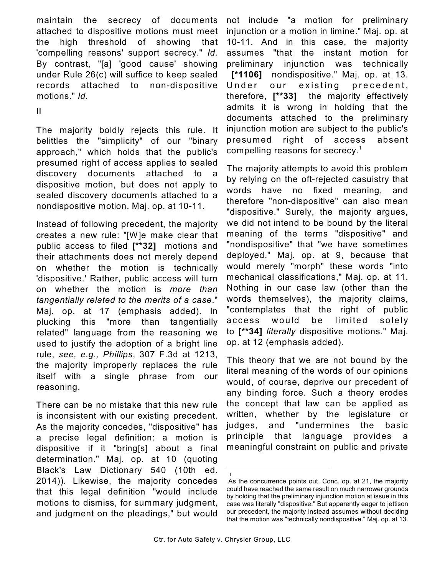maintain the secrecy of documents attached to dispositive motions must meet the high threshold of showing that 'compelling reasons' support secrecy." *Id.* By contrast, "[a] 'good cause' showing under Rule 26(c) will suffice to keep sealed records attached to non-dispositive motions." *Id.*

II

The majority boldly rejects this rule. It belittles the "simplicity" of our "binary approach," which holds that the public's presumed right of access applies to sealed discovery documents attached to a dispositive motion, but does not apply to sealed discovery documents attached to a nondispositive motion. Maj. op. at 10-11.

Instead of following precedent, the majority creates a new rule: "[W]e make clear that public access to filed **[\*\*32]** motions and their attachments does not merely depend on whether the motion is technically 'dispositive.' Rather, public access will turn on whether the motion is *more than tangentially related to the merits of a case*." Maj. op. at 17 (emphasis added). In plucking this "more than tangentially related" language from the reasoning we used to justify the adoption of a bright line rule, *see, e.g., Phillips*, 307 F.3d at 1213, the majority improperly replaces the rule itself with a single phrase from our reasoning.

There can be no mistake that this new rule is inconsistent with our existing precedent. As the majority concedes, "dispositive" has a precise legal definition: a motion is dispositive if it "bring[s] about a final determination." Maj. op. at 10 (quoting Black's Law Dictionary 540 (10th ed. 2014)). Likewise, the majority concedes that this legal definition "would include motions to dismiss, for summary judgment, and judgment on the pleadings," but would

not include "a motion for preliminary injunction or a motion in limine." Maj. op. at 10-11. And in this case, the majority assumes "that the instant motion for preliminary injunction was technically  **[\*1106]** nondispositive." Maj. op. at 13. Under our existing precedent, therefore, **[\*\*33]** the majority effectively admits it is wrong in holding that the documents attached to the preliminary injunction motion are subject to the public's presumed right of access absent compelling reasons for secrecy.<sup>1</sup>

The majority attempts to avoid this problem by relying on the oft-rejected casuistry that words have no fixed meaning, and therefore "non-dispositive" can also mean "dispositive." Surely, the majority argues, we did not intend to be bound by the literal meaning of the terms "dispositive" and "nondispositive" that "we have sometimes deployed," Maj. op. at 9, because that would merely "morph" these words "into mechanical classifications," Maj. op. at 11. Nothing in our case law (other than the words themselves), the majority claims, "contemplates that the right of public access would be limited solely to **[\*\*34]** *literally* dispositive motions." Maj. op. at 12 (emphasis added).

This theory that we are not bound by the literal meaning of the words of our opinions would, of course, deprive our precedent of any binding force. Such a theory erodes the concept that law can be applied as written, whether by the legislature or judges, and "undermines the basic principle that language provides a meaningful constraint on public and private

<sup>1</sup> As the concurrence points out, Conc. op. at 21, the majority could have reached the same result on much narrower grounds by holding that the preliminary injunction motion at issue in this case was literally "dispositive." But apparently eager to jettison our precedent, the majority instead assumes without deciding that the motion was "technically nondispositive." Maj. op. at 13.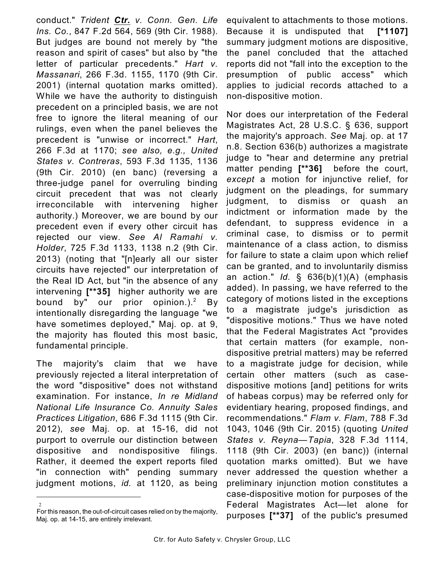conduct." *Trident Ctr. v. Conn. Gen. Life Ins. Co.*, 847 F.2d 564, 569 (9th Cir. 1988). But judges are bound not merely by "the reason and spirit of cases" but also by "the letter of particular precedents." *Hart v. Massanari*, 266 F.3d. 1155, 1170 (9th Cir. 2001) (internal quotation marks omitted). While we have the authority to distinguish precedent on a principled basis, we are not free to ignore the literal meaning of our rulings, even when the panel believes the precedent is "unwise or incorrect." *Hart*, 266 F.3d at 1170; *see also, e.g., United States v. Contreras*, 593 F.3d 1135, 1136 (9th Cir. 2010) (en banc) (reversing a three-judge panel for overruling binding circuit precedent that was not clearly irreconcilable with intervening higher authority.) Moreover, we are bound by our precedent even if every other circuit has rejected our view. *See Al Ramahi v. Holder*, 725 F.3d 1133, 1138 n.2 (9th Cir. 2013) (noting that "[n]early all our sister circuits have rejected" our interpretation of the Real ID Act, but "in the absence of any intervening **[\*\*35]** higher authority we are bound by" our prior opinion.).<sup>2</sup> By intentionally disregarding the language "we have sometimes deployed," Maj. op. at 9, the majority has flouted this most basic, fundamental principle.

The majority's claim that we have previously rejected a literal interpretation of the word "dispositive" does not withstand examination. For instance, *In re Midland National Life Insurance Co. Annuity Sales Practices Litigation*, 686 F.3d 1115 (9th Cir. 2012), *see* Maj. op. at 15-16, did not purport to overrule our distinction between dispositive and nondispositive filings. Rather, it deemed the expert reports filed "in connection with" pending summary judgment motions, *id.* at 1120, as being

2 For this reason, the out-of-circuit cases relied on by the majority, Maj. op. at 14-15, are entirely irrelevant.

equivalent to attachments to those motions. Because it is undisputed that **[\*1107]** summary judgment motions are dispositive, the panel concluded that the attached reports did not "fall into the exception to the presumption of public access" which applies to judicial records attached to a non-dispositive motion.

Nor does our interpretation of the Federal Magistrates Act, 28 U.S.C. § 636, support the majority's approach. *See* Maj. op. at 17 n.8. Section 636(b) authorizes a magistrate judge to "hear and determine any pretrial matter pending **[\*\*36]** before the court, *except* a motion for injunctive relief, for judgment on the pleadings, for summary judgment, to dismiss or quash an indictment or information made by the defendant, to suppress evidence in a criminal case, to dismiss or to permit maintenance of a class action, to dismiss for failure to state a claim upon which relief can be granted, and to involuntarily dismiss an action." *Id.* § 636(b)(1)(A) (emphasis added). In passing, we have referred to the category of motions listed in the exceptions to a magistrate judge's jurisdiction as "dispositive motions." Thus we have noted that the Federal Magistrates Act "provides that certain matters (for example, nondispositive pretrial matters) may be referred to a magistrate judge for decision, while certain other matters (such as casedispositive motions [and] petitions for writs of habeas corpus) may be referred only for evidentiary hearing, proposed findings, and recommendations." *Flam v. Flam*, 788 F.3d 1043, 1046 (9th Cir. 2015) (quoting *United States v. Reyna—Tapia*, 328 F.3d 1114, 1118 (9th Cir. 2003) (en banc)) (internal quotation marks omitted). But we have never addressed the question whether a preliminary injunction motion constitutes a case-dispositive motion for purposes of the Federal Magistrates Act—let alone for purposes **[\*\*37]** of the public's presumed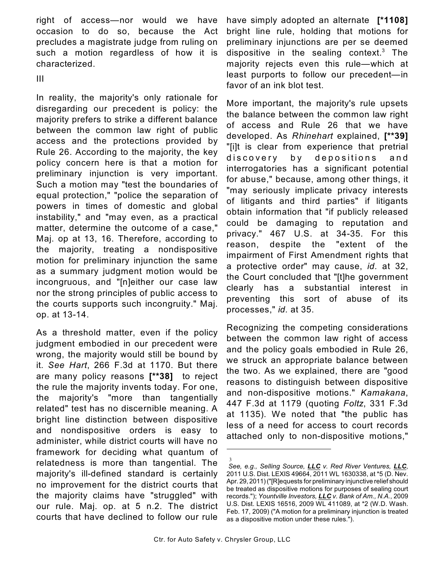right of access—nor would we have occasion to do so, because the Act precludes a magistrate judge from ruling on such a motion regardless of how it is characterized.

III

In reality, the majority's only rationale for disregarding our precedent is policy: the majority prefers to strike a different balance between the common law right of public access and the protections provided by Rule 26. According to the majority, the key policy concern here is that a motion for preliminary injunction is very important. Such a motion may "test the boundaries of equal protection," "police the separation of powers in times of domestic and global instability," and "may even, as a practical matter, determine the outcome of a case," Maj. op at 13, 16. Therefore, according to the majority, treating a nondispositive motion for preliminary injunction the same as a summary judgment motion would be incongruous, and "[n]either our case law nor the strong principles of public access to the courts supports such incongruity." Maj. op. at 13-14.

As a threshold matter, even if the policy judgment embodied in our precedent were wrong, the majority would still be bound by it. *See Hart*, 266 F.3d at 1170. But there are many policy reasons **[\*\*38]** to reject the rule the majority invents today. For one, the majority's "more than tangentially related" test has no discernible meaning. A bright line distinction between dispositive and nondispositive orders is easy to administer, while district courts will have no framework for deciding what quantum of relatedness is more than tangential. The majority's ill-defined standard is certainly no improvement for the district courts that the majority claims have "struggled" with our rule. Maj. op. at 5 n.2. The district courts that have declined to follow our rule

have simply adopted an alternate **[\*1108]** bright line rule, holding that motions for preliminary injunctions are per se deemed dispositive in the sealing context.<sup>3</sup> The majority rejects even this rule—which at least purports to follow our precedent—in favor of an ink blot test.

More important, the majority's rule upsets the balance between the common law right of access and Rule 26 that we have developed. As *Rhinehart* explained, **[\*\*39]** "[i]t is clear from experience that pretrial discovery by depositions and interrogatories has a significant potential for abuse," because, among other things, it "may seriously implicate privacy interests of litigants and third parties" if litigants obtain information that "if publicly released could be damaging to reputation and privacy." 467 U.S. at 34-35. For this reason, despite the "extent of the impairment of First Amendment rights that a protective order" may cause, *id.* at 32, the Court concluded that "[t]he government clearly has a substantial interest in preventing this sort of abuse of its processes," *id.* at 35.

Recognizing the competing considerations between the common law right of access and the policy goals embodied in Rule 26, we struck an appropriate balance between the two. As we explained, there are "good reasons to distinguish between dispositive and non-dispositive motions." *Kamakana*, 447 F.3d at 1179 (quoting *Foltz*, 331 F.3d at 1135). We noted that "the public has less of a need for access to court records attached only to non-dispositive motions,"

<sup>3</sup> *See, e.g., Selling Source, LLC v. Red River Ventures, LLC*, 2011 U.S. Dist. LEXIS 49664, 2011 WL 1630338, at \*5 (D. Nev. Apr. 29, 2011) ("[R]equests for preliminary injunctive relief should be treated as dispositive motions for purposes of sealing court records."); *Yountville Investors, LLC v. Bank of Am., N.A.*, 2009 U.S. Dist. LEXIS 16516, 2009 WL 411089, at \*2 (W.D. Wash. Feb. 17, 2009) ("A motion for a preliminary injunction is treated as a dispositive motion under these rules.").